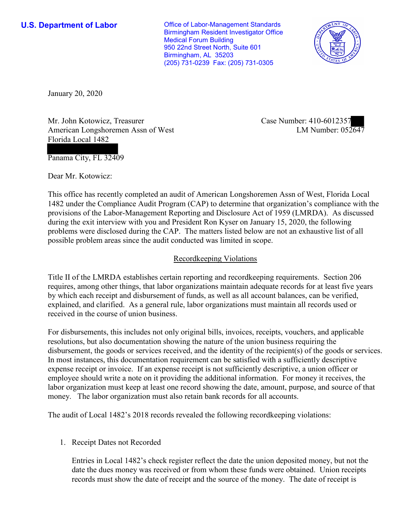**U.S. Department of Labor Conservative Conservative Conservative Conservative Conservative Conservative Conservative Conservative Conservative Conservative Conservative Conservative Conservative Conservative Conservative** Birmingham Resident Investigator Office Medical Forum Building 950 22nd Street North, Suite 601 Birmingham, AL 35203 (205) 731-0239 Fax: (205) 731-0305



January 20, 2020

Mr. John Kotowicz, Treasurer American Longshoremen Assn of West Florida Local 1482

Case Number: 410-6012357 LM Number: 052647

Panama City, FL 32409

Dear Mr. Kotowicz:

This office has recently completed an audit of American Longshoremen Assn of West, Florida Local 1482 under the Compliance Audit Program (CAP) to determine that organization's compliance with the provisions of the Labor-Management Reporting and Disclosure Act of 1959 (LMRDA). As discussed during the exit interview with you and President Ron Kyser on January 15, 2020, the following problems were disclosed during the CAP. The matters listed below are not an exhaustive list of all possible problem areas since the audit conducted was limited in scope.

## Recordkeeping Violations

Title II of the LMRDA establishes certain reporting and recordkeeping requirements. Section 206 requires, among other things, that labor organizations maintain adequate records for at least five years by which each receipt and disbursement of funds, as well as all account balances, can be verified, explained, and clarified. As a general rule, labor organizations must maintain all records used or received in the course of union business.

For disbursements, this includes not only original bills, invoices, receipts, vouchers, and applicable resolutions, but also documentation showing the nature of the union business requiring the disbursement, the goods or services received, and the identity of the recipient(s) of the goods or services. In most instances, this documentation requirement can be satisfied with a sufficiently descriptive expense receipt or invoice. If an expense receipt is not sufficiently descriptive, a union officer or employee should write a note on it providing the additional information. For money it receives, the labor organization must keep at least one record showing the date, amount, purpose, and source of that money. The labor organization must also retain bank records for all accounts.

The audit of Local 1482's 2018 records revealed the following recordkeeping violations:

1. Receipt Dates not Recorded

Entries in Local 1482's check register reflect the date the union deposited money, but not the date the dues money was received or from whom these funds were obtained. Union receipts records must show the date of receipt and the source of the money. The date of receipt is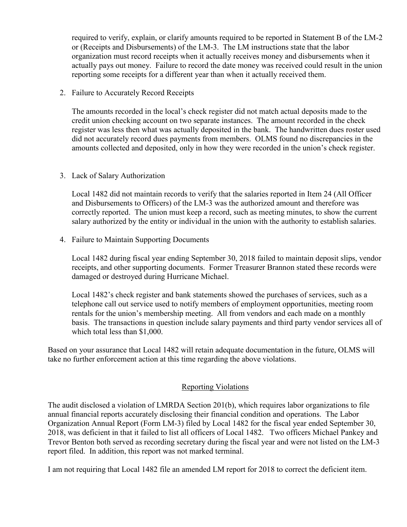required to verify, explain, or clarify amounts required to be reported in Statement B of the LM-2 or (Receipts and Disbursements) of the LM-3. The LM instructions state that the labor organization must record receipts when it actually receives money and disbursements when it actually pays out money. Failure to record the date money was received could result in the union reporting some receipts for a different year than when it actually received them.

2. Failure to Accurately Record Receipts

The amounts recorded in the local's check register did not match actual deposits made to the credit union checking account on two separate instances. The amount recorded in the check register was less then what was actually deposited in the bank. The handwritten dues roster used did not accurately record dues payments from members. OLMS found no discrepancies in the amounts collected and deposited, only in how they were recorded in the union's check register.

## 3. Lack of Salary Authorization

Local 1482 did not maintain records to verify that the salaries reported in Item 24 (All Officer and Disbursements to Officers) of the LM-3 was the authorized amount and therefore was correctly reported. The union must keep a record, such as meeting minutes, to show the current salary authorized by the entity or individual in the union with the authority to establish salaries.

4. Failure to Maintain Supporting Documents

Local 1482 during fiscal year ending September 30, 2018 failed to maintain deposit slips, vendor receipts, and other supporting documents. Former Treasurer Brannon stated these records were damaged or destroyed during Hurricane Michael.

Local 1482's check register and bank statements showed the purchases of services, such as a telephone call out service used to notify members of employment opportunities, meeting room rentals for the union's membership meeting. All from vendors and each made on a monthly basis. The transactions in question include salary payments and third party vendor services all of which total less than \$1,000.

Based on your assurance that Local 1482 will retain adequate documentation in the future, OLMS will take no further enforcement action at this time regarding the above violations.

## Reporting Violations

The audit disclosed a violation of LMRDA Section 201(b), which requires labor organizations to file annual financial reports accurately disclosing their financial condition and operations. The Labor Organization Annual Report (Form LM-3) filed by Local 1482 for the fiscal year ended September 30, 2018, was deficient in that it failed to list all officers of Local 1482. Two officers Michael Pankey and Trevor Benton both served as recording secretary during the fiscal year and were not listed on the LM-3 report filed. In addition, this report was not marked terminal.

I am not requiring that Local 1482 file an amended LM report for 2018 to correct the deficient item.